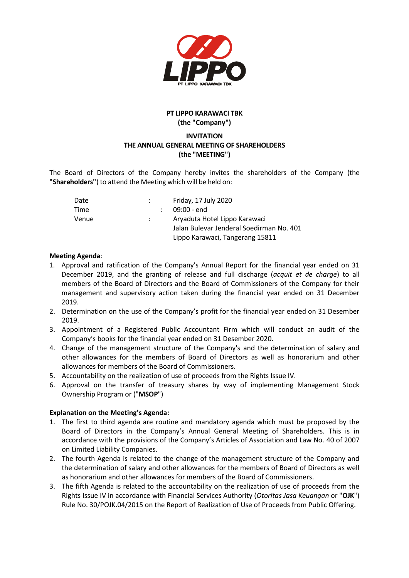

# **PT LIPPO KARAWACI TBK (the "Company")**

# **INVITATION THE ANNUAL GENERAL MEETING OF SHAREHOLDERS (the "MEETING")**

The Board of Directors of the Company hereby invites the shareholders of the Company (the **"Shareholders"**) to attend the Meeting which will be held on:

| Date  |  | Friday, 17 July 2020                                                                                         |
|-------|--|--------------------------------------------------------------------------------------------------------------|
| Time  |  | $09:00 - end$                                                                                                |
| Venue |  | Aryaduta Hotel Lippo Karawaci<br>Jalan Bulevar Jenderal Soedirman No. 401<br>Lippo Karawaci, Tangerang 15811 |

#### **Meeting Agenda**:

- 1. Approval and ratification of the Company's Annual Report for the financial year ended on 31 December 2019, and the granting of release and full discharge (*acquit et de charge*) to all members of the Board of Directors and the Board of Commissioners of the Company for their management and supervisory action taken during the financial year ended on 31 December 2019.
- 2. Determination on the use of the Company's profit for the financial year ended on 31 Desember 2019.
- 3. Appointment of a Registered Public Accountant Firm which will conduct an audit of the Company's books for the financial year ended on 31 Desember 2020.
- 4. Change of the management structure of the Company's and the determination of salary and other allowances for the members of Board of Directors as well as honorarium and other allowances for members of the Board of Commissioners.
- 5. Accountability on the realization of use of proceeds from the Rights Issue IV.
- 6. Approval on the transfer of treasury shares by way of implementing Management Stock Ownership Program or ("**MSOP**")

# **Explanation on the Meeting's Agenda:**

- 1. The first to third agenda are routine and mandatory agenda which must be proposed by the Board of Directors in the Company's Annual General Meeting of Shareholders. This is in accordance with the provisions of the Company's Articles of Association and Law No. 40 of 2007 on Limited Liability Companies.
- 2. The fourth Agenda is related to the change of the management structure of the Company and the determination of salary and other allowances for the members of Board of Directors as well as honorarium and other allowances for members of the Board of Commissioners.
- 3. The fifth Agenda is related to the accountability on the realization of use of proceeds from the Rights Issue IV in accordance with Financial Services Authority (*Otoritas Jasa Keuangan* or "**OJK**") Rule No. 30/POJK.04/2015 on the Report of Realization of Use of Proceeds from Public Offering.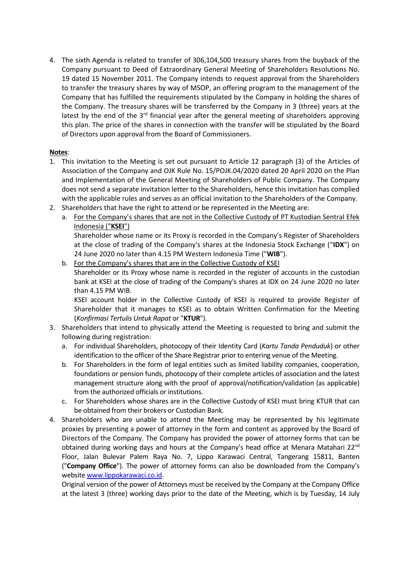4. The sixth Agenda is related to transfer of 306,104,500 treasury shares from the buyback of the Company pursuant to Deed of Extraordinary General Meeting of Shareholders Resolutions No. 19 dated 15 November 2011. The Company intends to request approval from the Shareholders to transfer the treasury shares by way of MSOP, an offering program to the management of the Company that has fulfilled the requirements stipulated by the Company in holding the shares of the Company. The treasury shares will be transferred by the Company in 3 (three) years at the latest by the end of the  $3<sup>rd</sup>$  financial year after the general meeting of shareholders approving this plan. The price of the shares in connection with the transfer will be stipulated by the Board of Directors upon approval from the Board of Commissioners.

# **Notes**:

- 1. This invitation to the Meeting is set out pursuant to Article 12 paragraph (3) of the Articles of Association of the Company and OJK Rule No. 15/POJK.04/2020 dated 20 April 2020 on the Plan and Implementation of the General Meeting of Shareholders of Public Company. The Company does not send a separate invitation letter to the Shareholders, hence this invitation has complied with the applicable rules and serves as an official invitation to the Shareholders of the Company.
- 2. Shareholders that have the right to attend or be represented in the Meeting are:
	- a. For the Company's shares that are not in the Collective Custody of PT Kustodian Sentral Efek Indonesia ("**KSEI**")

Shareholder whose name or its Proxy is recorded in the Company's Register of Shareholders at the close of trading of the Company's shares at the Indonesia Stock Exchange ("**IDX**") on 24 June 2020 no later than 4.15 PM Western Indonesia Time ("**WIB**").

b. For the Company's shares that are in the Collective Custody of KSEI Shareholder or its Proxy whose name is recorded in the register of accounts in the custodian bank at KSEI at the close of trading of the Company's shares at IDX on 24 June 2020 no later than 4.15 PM WIB. KSEI account holder in the Collective Custody of KSEI is required to provide Register of

Shareholder that it manages to KSEI as to obtain Written Confirmation for the Meeting (*Konfirmasi Tertulis Untuk Rapat* or "**KTUR**").

- 3. Shareholders that intend to physically attend the Meeting is requested to bring and submit the following during registration:
	- a. For individual Shareholders, photocopy of their Identity Card (*Kartu Tanda Penduduk*) or other identification to the officer of the Share Registrar prior to entering venue of the Meeting.
	- b. For Shareholders in the form of legal entities such as limited liability companies, cooperation, foundations or pension funds, photocopy of their complete articles of association and the latest management structure along with the proof of approval/notification/validation (as applicable) from the authorized officials or institutions.
	- c. For Shareholders whose shares are in the Collective Custody of KSEI must bring KTUR that can be obtained from their brokers or Custodian Bank.
- 4. Shareholders who are unable to attend the Meeting may be represented by his legitimate proxies by presenting a power of attorney in the form and content as approved by the Board of Directors of the Company. The Company has provided the power of attorney forms that can be obtained during working days and hours at the Company's head office at Menara Matahari 22<sup>nd</sup> Floor, Jalan Bulevar Palem Raya No. 7, Lippo Karawaci Central, Tangerang 15811, Banten ("**Company Office**"). The power of attorney forms can also be downloaded from the Company's website [www.lippokarawaci.co.id.](http://www.lippokarawaci.co.id/)

Original version of the power of Attorneys must be received by the Company at the Company Office at the latest 3 (three) working days prior to the date of the Meeting, which is by Tuesday, 14 July